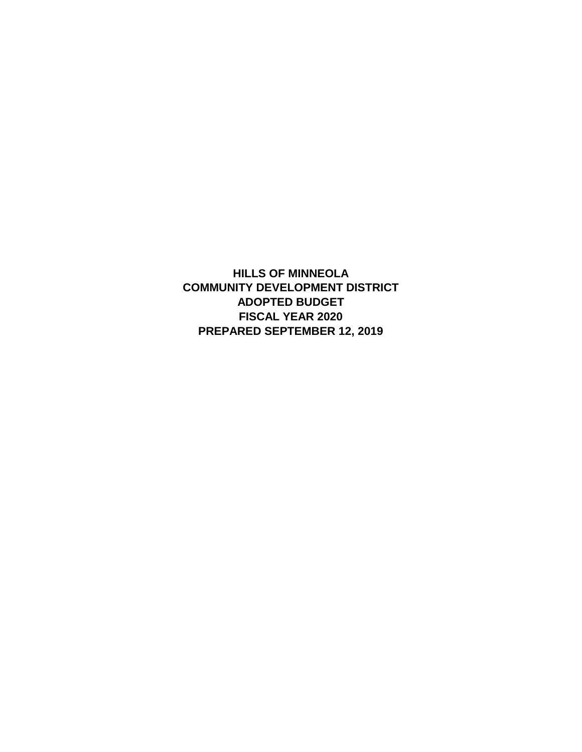**HILLS OF MINNEOLA COMMUNITY DEVELOPMENT DISTRICT ADOPTED BUDGET FISCAL YEAR 2020 PREPARED SEPTEMBER 12, 2019**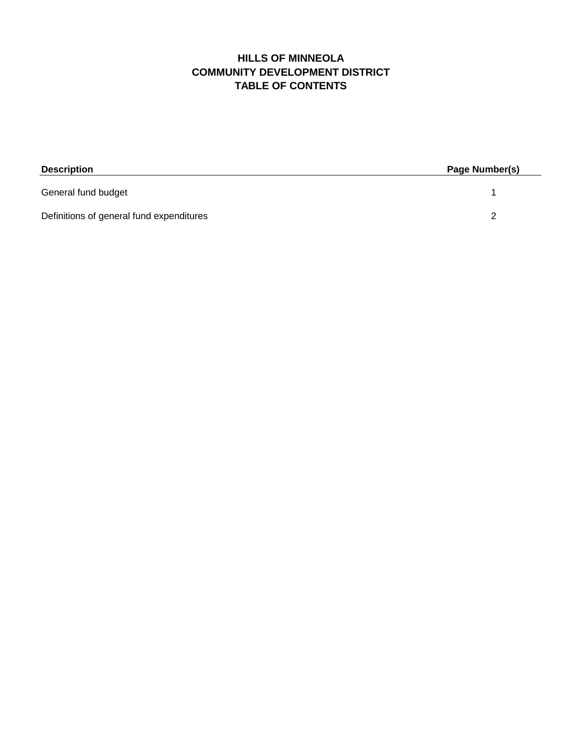# **HILLS OF MINNEOLA TABLE OF CONTENTS COMMUNITY DEVELOPMENT DISTRICT**

| <b>Description</b>                       | Page Number(s) |  |
|------------------------------------------|----------------|--|
| General fund budget                      |                |  |
| Definitions of general fund expenditures |                |  |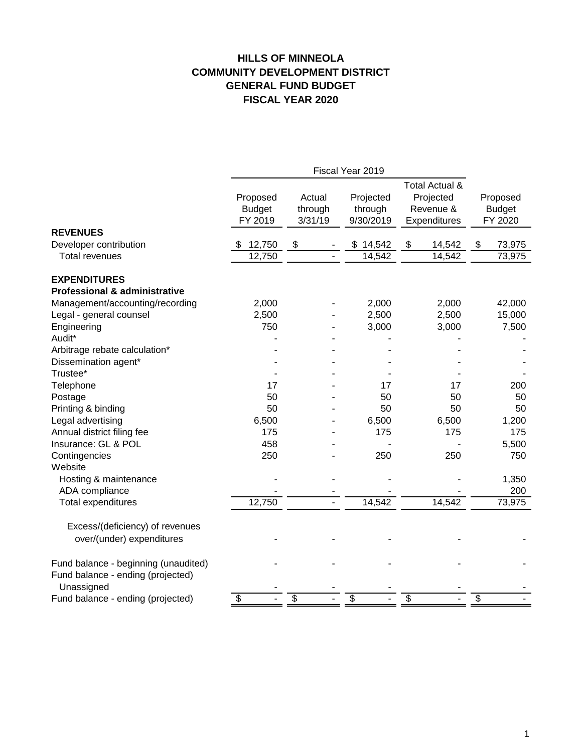# **HILLS OF MINNEOLA GENERAL FUND BUDGET FISCAL YEAR 2020 COMMUNITY DEVELOPMENT DISTRICT**

|                                          | Fiscal Year 2019                     |                              |                                   |                                                          |                                      |
|------------------------------------------|--------------------------------------|------------------------------|-----------------------------------|----------------------------------------------------------|--------------------------------------|
|                                          | Proposed<br><b>Budget</b><br>FY 2019 | Actual<br>through<br>3/31/19 | Projected<br>through<br>9/30/2019 | Total Actual &<br>Projected<br>Revenue &<br>Expenditures | Proposed<br><b>Budget</b><br>FY 2020 |
| <b>REVENUES</b>                          |                                      |                              |                                   |                                                          |                                      |
| Developer contribution                   | 12,750<br>S                          | \$                           | \$14,542                          | \$<br>14,542                                             | 73,975<br>\$                         |
| <b>Total revenues</b>                    | 12,750                               |                              | 14,542                            | 14,542                                                   | 73,975                               |
| <b>EXPENDITURES</b>                      |                                      |                              |                                   |                                                          |                                      |
| <b>Professional &amp; administrative</b> |                                      |                              |                                   |                                                          |                                      |
| Management/accounting/recording          | 2,000                                |                              | 2,000                             | 2,000                                                    | 42,000                               |
| Legal - general counsel                  | 2,500                                |                              | 2,500                             | 2,500                                                    | 15,000                               |
| Engineering                              | 750                                  |                              | 3,000                             | 3,000                                                    | 7,500                                |
| Audit*                                   |                                      |                              |                                   |                                                          |                                      |
| Arbitrage rebate calculation*            |                                      |                              |                                   |                                                          |                                      |
| Dissemination agent*                     |                                      |                              |                                   |                                                          |                                      |
| Trustee*                                 |                                      |                              |                                   |                                                          |                                      |
| Telephone                                | 17                                   |                              | 17                                | 17                                                       | 200                                  |
| Postage                                  | 50                                   |                              | 50                                | 50                                                       | 50                                   |
| Printing & binding                       | 50                                   |                              | 50                                | 50                                                       | 50                                   |
| Legal advertising                        | 6,500                                |                              | 6,500                             | 6,500                                                    | 1,200                                |
| Annual district filing fee               | 175                                  |                              | 175                               | 175                                                      | 175                                  |
| Insurance: GL & POL                      | 458                                  |                              |                                   |                                                          | 5,500                                |
| Contingencies                            | 250                                  |                              | 250                               | 250                                                      | 750                                  |
| Website                                  |                                      |                              |                                   |                                                          |                                      |
| Hosting & maintenance                    |                                      |                              |                                   |                                                          | 1,350                                |
| ADA compliance                           |                                      |                              |                                   |                                                          | 200                                  |
| Total expenditures                       | 12,750                               |                              | 14,542                            | 14,542                                                   | 73,975                               |
|                                          |                                      |                              |                                   |                                                          |                                      |
| Excess/(deficiency) of revenues          |                                      |                              |                                   |                                                          |                                      |
| over/(under) expenditures                |                                      |                              |                                   |                                                          |                                      |
| Fund balance - beginning (unaudited)     |                                      |                              |                                   |                                                          |                                      |
| Fund balance - ending (projected)        |                                      |                              |                                   |                                                          |                                      |
| Unassigned                               |                                      |                              |                                   |                                                          |                                      |
| Fund balance - ending (projected)        | \$                                   | \$                           | \$                                | \$                                                       | \$                                   |